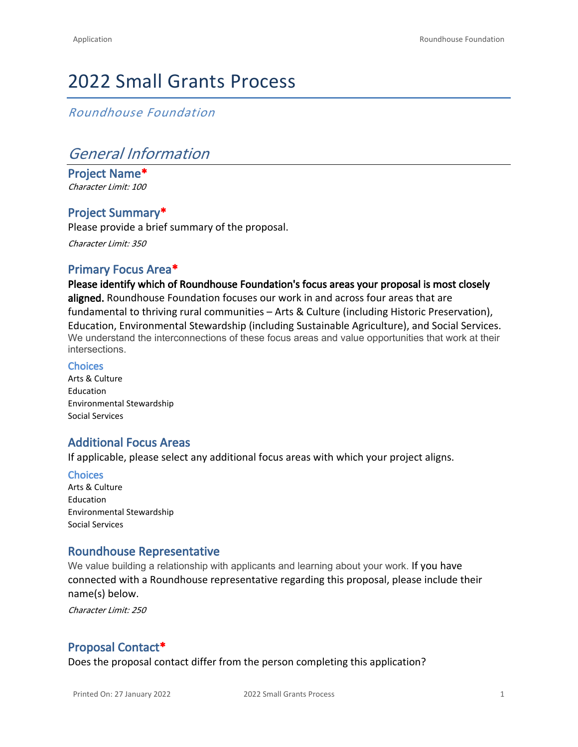# 2022 Small Grants Process

*Roundhouse Foundation*

# *General Information*

**Project Name\*** *Character Limit: 100*

# **Project Summary\***

Please provide a brief summary of the proposal. *Character Limit: 350*

### **Primary Focus Area\***

**Please identify which of Roundhouse Foundation's focus areas your proposal is most closely aligned.** Roundhouse Foundation focuses our work in and across four areas that are fundamental to thriving rural communities – Arts & Culture (including Historic Preservation), Education, Environmental Stewardship (including Sustainable Agriculture), and Social Services. We understand the interconnections of these focus areas and value opportunities that work at their intersections.

#### **Choices**

Arts & Culture Education Environmental Stewardship Social Services

### **Additional Focus Areas**

If applicable, please select any additional focus areas with which your project aligns.

#### **Choices**

Arts & Culture Education Environmental Stewardship Social Services

#### **Roundhouse Representative**

We value building a relationship with applicants and learning about your work. If you have connected with a Roundhouse representative regarding this proposal, please include their name(s) below.

*Character Limit: 250*

# **Proposal Contact\***

Does the proposal contact differ from the person completing this application?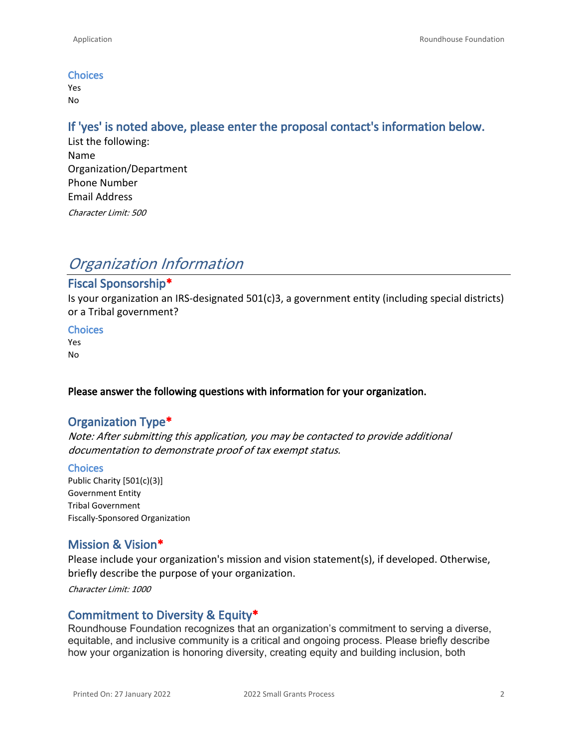#### **Choices**

Yes No

#### **If 'yes' is noted above, please enter the proposal contact's information below.**

List the following: Name Organization/Department Phone Number Email Address *Character Limit: 500*

# *Organization Information*

# **Fiscal Sponsorship\***

Is your organization an IRS-designated 501(c)3, a government entity (including special districts) or a Tribal government?

#### **Choices**

Yes No

#### **Please answer the following questions with information for your organization.**

#### **Organization Type\***

*Note: After submitting this application, you may be contacted to provide additional documentation to demonstrate proof of tax exempt status.*

#### **Choices**

Public Charity [501(c)(3)] Government Entity Tribal Government Fiscally-Sponsored Organization

#### **Mission & Vision\***

Please include your organization's mission and vision statement(s), if developed. Otherwise, briefly describe the purpose of your organization.

*Character Limit: 1000*

#### **Commitment to Diversity & Equity\***

Roundhouse Foundation recognizes that an organization's commitment to serving a diverse, equitable, and inclusive community is a critical and ongoing process. Please briefly describe how your organization is honoring diversity, creating equity and building inclusion, both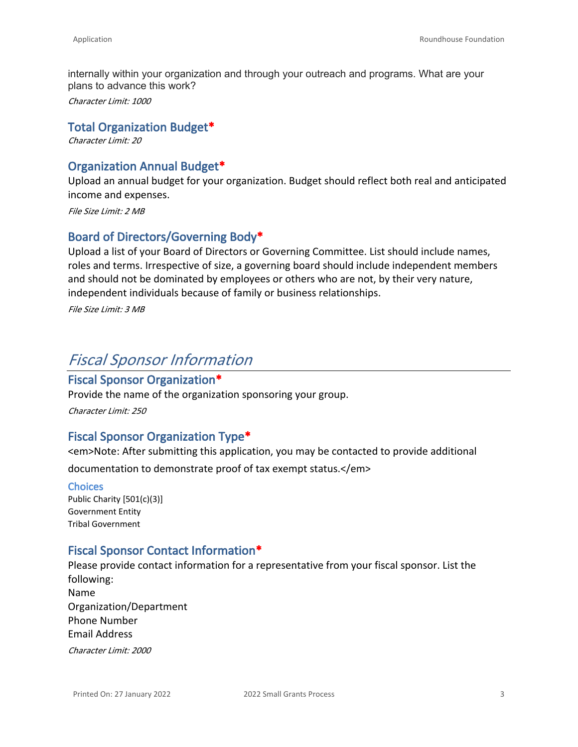internally within your organization and through your outreach and programs. What are your plans to advance this work?

*Character Limit: 1000*

#### **Total Organization Budget\***

*Character Limit: 20*

#### **Organization Annual Budget\***

Upload an annual budget for your organization. Budget should reflect both real and anticipated income and expenses.

*File Size Limit: 2 MB*

### **Board of Directors/Governing Body\***

Upload a list of your Board of Directors or Governing Committee. List should include names, roles and terms. Irrespective of size, a governing board should include independent members and should not be dominated by employees or others who are not, by their very nature, independent individuals because of family or business relationships.

*File Size Limit: 3 MB*

# *Fiscal Sponsor Information*

#### **Fiscal Sponsor Organization\***

Provide the name of the organization sponsoring your group.

*Character Limit: 250*

#### **Fiscal Sponsor Organization Type\***

<em>Note: After submitting this application, you may be contacted to provide additional

documentation to demonstrate proof of tax exempt status.</em>

#### **Choices**

Public Charity [501(c)(3)] Government Entity Tribal Government

#### **Fiscal Sponsor Contact Information\***

Please provide contact information for a representative from your fiscal sponsor. List the following: Name Organization/Department Phone Number Email Address *Character Limit: 2000*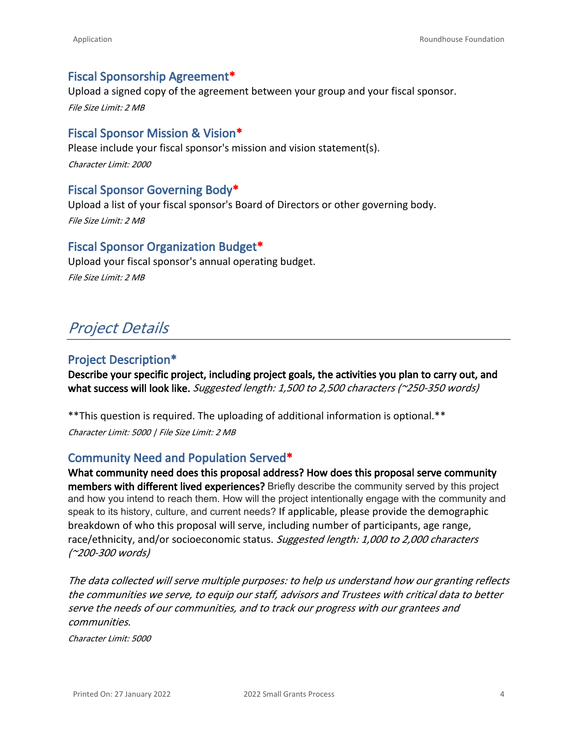#### **Fiscal Sponsorship Agreement\***

Upload a signed copy of the agreement between your group and your fiscal sponsor. *File Size Limit: 2 MB*

#### **Fiscal Sponsor Mission & Vision\***

Please include your fiscal sponsor's mission and vision statement(s). *Character Limit: 2000*

#### **Fiscal Sponsor Governing Body\***

Upload a list of your fiscal sponsor's Board of Directors or other governing body. *File Size Limit: 2 MB*

#### **Fiscal Sponsor Organization Budget\***

Upload your fiscal sponsor's annual operating budget. *File Size Limit: 2 MB*

# *Project Details*

#### **Project Description\***

**Describe your specific project, including project goals, the activities you plan to carry out, and what success will look like.** *Suggested length: 1,500 to 2,500 characters (~250-350 words)*

\*\*This question is required. The uploading of additional information is optional.\*\* *Character Limit: 5000 | File Size Limit: 2 MB*

#### **Community Need and Population Served\***

**What community need does this proposal address? How does this proposal serve community members with different lived experiences?** Briefly describe the community served by this project and how you intend to reach them. How will the project intentionally engage with the community and speak to its history, culture, and current needs? If applicable, please provide the demographic breakdown of who this proposal will serve, including number of participants, age range, race/ethnicity, and/or socioeconomic status. *Suggested length: 1,000 to 2,000 characters (~200-300 words)*

*The data collected will serve multiple purposes: to help us understand how our granting reflects the communities we serve, to equip our staff, advisors and Trustees with critical data to better serve the needs of our communities, and to track our progress with our grantees and communities.*

*Character Limit: 5000*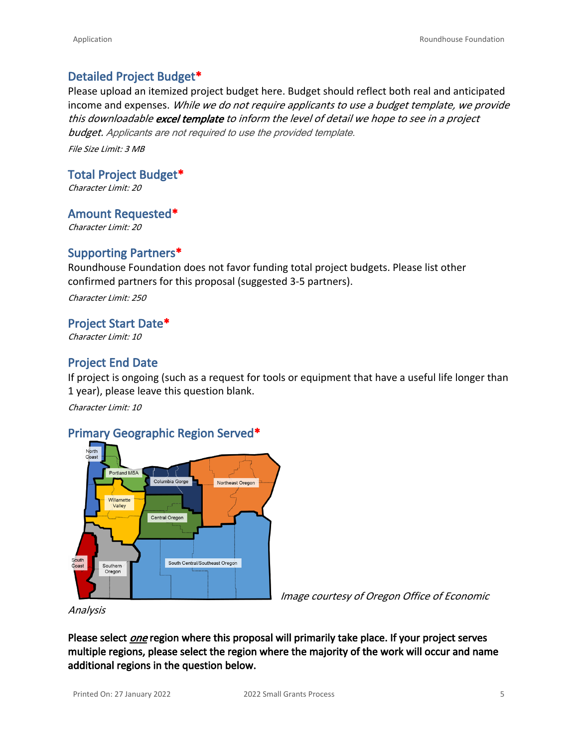### **Detailed Project Budget\***

Please upload an itemized project budget here. Budget should reflect both real and anticipated income and expenses. *While we do not require applicants to use a budget template, we provide this downloadable [excel template](https://roundhousefoundation.org/wp-content/uploads/2022/01/BudgetTemplate2022.xlsx) to inform the level of detail we hope to see in a project budget. Applicants are not required to use the provided template.*

*File Size Limit: 3 MB*

**Total Project Budget\***

*Character Limit: 20*

**Amount Requested\***

*Character Limit: 20*

### **Supporting Partners\***

Roundhouse Foundation does not favor funding total project budgets. Please list other confirmed partners for this proposal (suggested 3-5 partners).

*Character Limit: 250*

#### **Project Start Date\***

*Character Limit: 10*

## **Project End Date**

If project is ongoing (such as a request for tools or equipment that have a useful life longer than 1 year), please leave this question blank.

*Character Limit: 10*

#### **Primary Geographic Region Served\***



*Image courtesy of Oregon Office of Economic* 

*Analysis*

Please select *one* region where this proposal will primarily take place. If your project serves **multiple regions, please select the region where the majority of the work will occur and name additional regions in the question below.**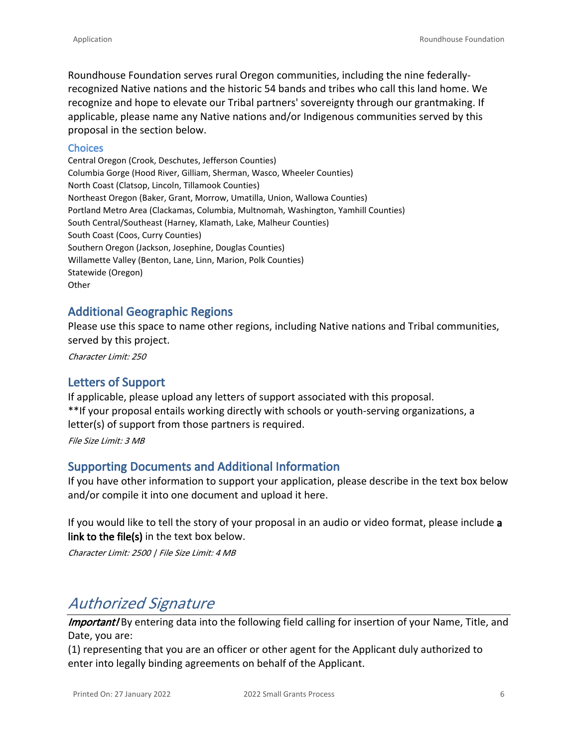Roundhouse Foundation serves rural Oregon communities, including the nine federallyrecognized Native nations and the historic 54 bands and tribes who call this land home. We recognize and hope to elevate our Tribal partners' sovereignty through our grantmaking. If applicable, please name any Native nations and/or Indigenous communities served by this proposal in the section below.

#### **Choices**

Central Oregon (Crook, Deschutes, Jefferson Counties) Columbia Gorge (Hood River, Gilliam, Sherman, Wasco, Wheeler Counties) North Coast (Clatsop, Lincoln, Tillamook Counties) Northeast Oregon (Baker, Grant, Morrow, Umatilla, Union, Wallowa Counties) Portland Metro Area (Clackamas, Columbia, Multnomah, Washington, Yamhill Counties) South Central/Southeast (Harney, Klamath, Lake, Malheur Counties) South Coast (Coos, Curry Counties) Southern Oregon (Jackson, Josephine, Douglas Counties) Willamette Valley (Benton, Lane, Linn, Marion, Polk Counties) Statewide (Oregon) **Other** 

#### **Additional Geographic Regions**

Please use this space to name other regions, including Native nations and Tribal communities, served by this project.

*Character Limit: 250*

#### **Letters of Support**

If applicable, please upload any letters of support associated with this proposal. \*\*If your proposal entails working directly with schools or youth-serving organizations, a letter(s) of support from those partners is required.

*File Size Limit: 3 MB*

#### **Supporting Documents and Additional Information**

If you have other information to support your application, please describe in the text box below and/or compile it into one document and upload it here.

If you would like to tell the story of your proposal in an audio or video format, please include **a link to the file(s)** in the text box below.

*Character Limit: 2500 | File Size Limit: 4 MB*

# *Authorized Signature*

*Important!* By entering data into the following field calling for insertion of your Name, Title, and Date, you are:

(1) representing that you are an officer or other agent for the Applicant duly authorized to enter into legally binding agreements on behalf of the Applicant.